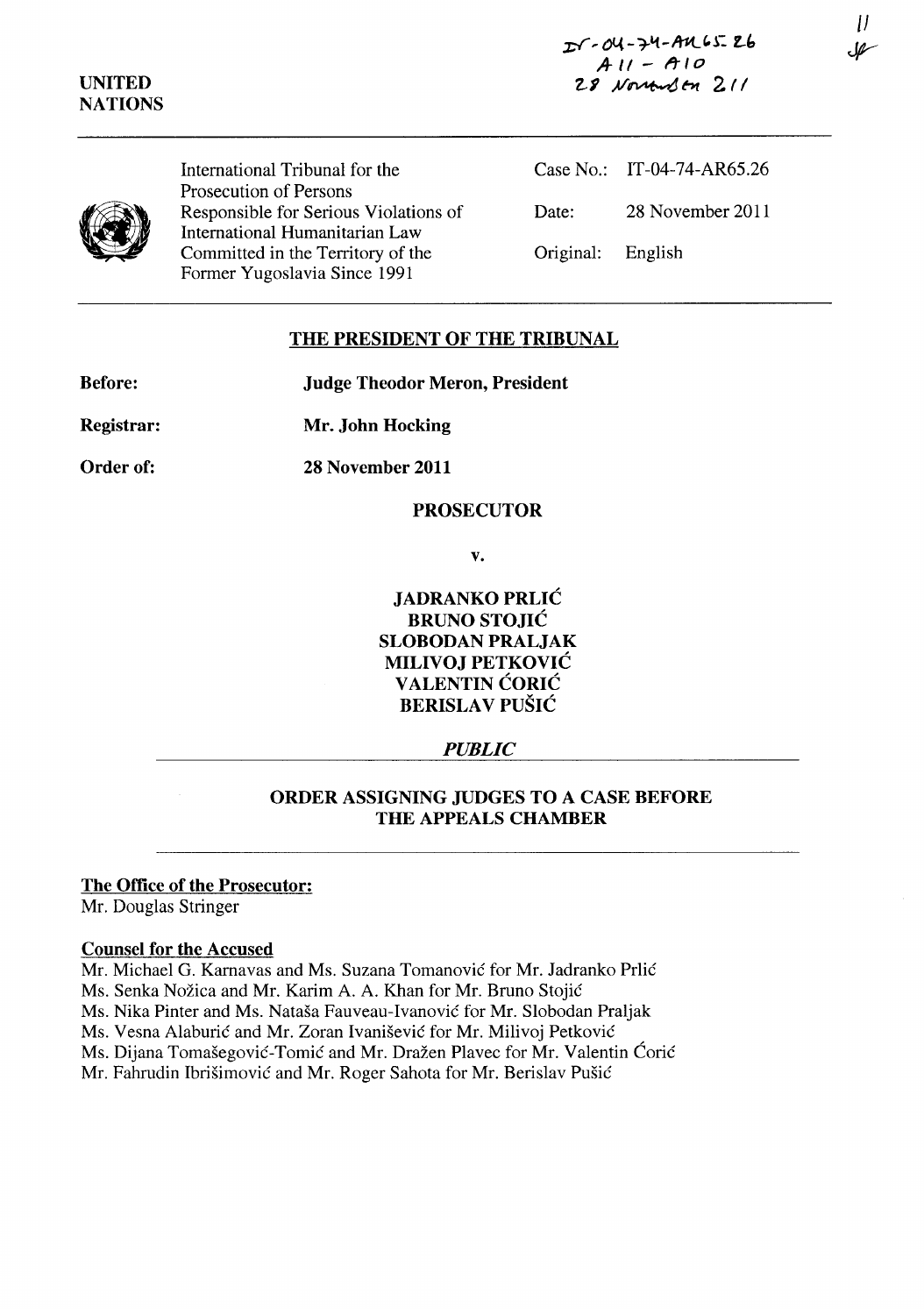*z-r,* 04 - **-rLt -A1-t.. "l: l.-i, .4-11 - ft-Io 2.-1** .A/~ *ht* **2. 11** 

**UNITED NATIONS** 



International Tribunal for the Prosecution of Persons Responsible for Serious Violations of International Humanitarian Law Committed in the Territory of the Former Yugoslavia Since 1991

Case No.: IT-04-74-AR65.26 Date: 28 November 2011 Original: English

# **THE PRESIDENT OF THE TRIBUNAL**

**Judge Theodor Meron, President** 

**Mr. John Hocking** 

**Order of:** 

**Registrar:** 

**28 November 2011** 

### **PROSECUTOR**

**v.** 

**JADRANKO PRLIC BRUNO STOJIC SLOBODAN PRALJAK MILIVOJ PETKOVIC V ALENTIN CORIC BERISLA V PUSIC** 

*PUBLIC* 

# **ORDER ASSIGNING JUDGES TO A CASE BEFORE THE APPEALS CHAMBER**

### **The Office of the Prosecutor:**

Mr. Douglas Stringer

### **Counsel for the Accused**

Mr. Michael G. Karnavas and Ms. Suzana Tomanović for Mr. Jadranko Prlić Ms. Senka Nožica and Mr. Karim A. A. Khan for Mr. Bruno Stojić Ms. Nika Pinter and Ms. Natasa Fauveau-Ivanovie for Mr. Slobodan Praljak Ms. Vesna Alaburić and Mr. Zoran Ivanišević for Mr. Milivoj Petković Ms. Dijana Tomašegović-Tomić and Mr. Dražen Plavec for Mr. Valentin Ćorić Mr. Fahrudin Ibrišimović and Mr. Roger Sahota for Mr. Berislav Pušić